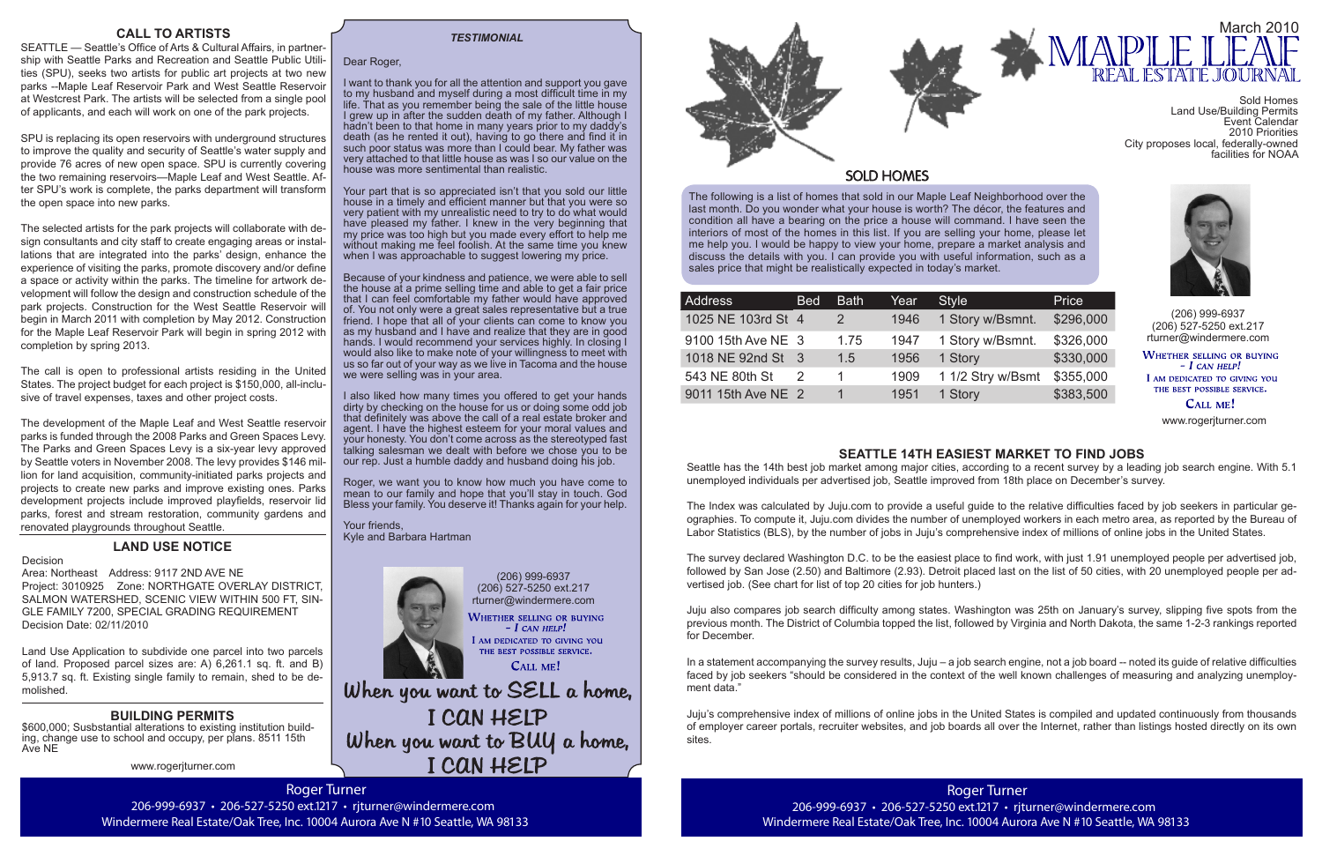Roger Turner 206-999-6937 · 206-527-5250 ext.1217 · rjturner@windermere.com Windermere Real Estate/Oak Tree, Inc. 10004 Aurora Ave N #10 Seattle, WA 98133



The following is a list of homes that sold in our Maple Leaf Neighborhood over the last month. Do you wonder what your house is worth? The décor, the features and condition all have a bearing on the price a house will command. I have seen the interiors of most of the homes in this list. If you are selling your home, please let me help you. I would be happy to view your home, prepare a market analysis and discuss the details with you. I can provide you with useful information, such as a sales price that might be realistically expected in today's market.

(206) 999-6937 (206) 527-5250 ext.217 rturner@windermere.com

WHETHER SELLING OR BUYING  $-$  I can help! I AM DEDICATED TO GIVING YOU THE BEST POSSIBLE SERVICE.

CALL ME!

When you want to SELL a home, I CAN HELP When you want to BUY a home, I CAN HELP

| Address            | <b>Bed</b> | <b>Bath</b>   | Year | <b>Style</b>      | Price     |
|--------------------|------------|---------------|------|-------------------|-----------|
| 1025 NE 103rd St 4 |            | $\mathcal{P}$ | 1946 | 1 Story w/Bsmnt.  | \$296,000 |
| 9100 15th Ave NE 3 |            | 1.75          | 1947 | 1 Story w/Bsmnt.  | \$326,000 |
| 1018 NE 92nd St 3  |            | 1.5           | 1956 | 1 Story           | \$330,000 |
| 543 NE 80th St     | 2          |               | 1909 | 1 1/2 Stry w/Bsmt | \$355,000 |
| 9011 15th Ave NE 2 |            |               | 1951 | 1 Story           | \$383,500 |

(206) 999-6937 (206) 527-5250 ext.217 rturner@windermere.com

WHETHER SELLING OR BUYING  $-I$  CAN HELP! I AM DEDICATED TO GIVING YOU THE BEST POSSIBLE SERVICE.

**CALL ME!** 

#### Dear Roger,

I want to thank you for all the attention and support you gave to my husband and myself during a most difficult time in my life. That as you remember being the sale of the little house I grew up in after the sudden death of my father. Although I hadn't been to that home in many years prior to my daddy's death (as he rented it out), having to go there and find it in such poor status was more than I could bear. My father was very attached to that little house as was I so our value on the house was more sentimental than realistic.

Your part that is so appreciated isn't that you sold our little house in a timely and efficient manner but that you were so very patient with my unrealistic need to try to do what would have pleased my father. I knew in the very beginning that my price was too high but you made every effort to help me without making me feel foolish. At the same time you knew when I was approachable to suggest lowering my price.



### **SOLD HOMES**

Because of your kindness and patience, we were able to sell the house at a prime selling time and able to get a fair price that I can feel comfortable my father would have approved of. You not only were a great sales representative but a true friend. I hope that all of your clients can come to know you as my husband and I have and realize that they are in good hands. I would recommend your services highly. In closing I would also like to make note of your willingness to meet with us so far out of your way as we live in Tacoma and the house we were selling was in your area.

I also liked how many times you offered to get your hands dirty by checking on the house for us or doing some odd job that definitely was above the call of a real estate broker and agent. I have the highest esteem for your moral values and your honesty. You don't come across as the stereotyped fast talking salesman we dealt with before we chose you to be our rep. Just a humble daddy and husband doing his job.

Roger, we want you to know how much you have come to mean to our family and hope that you'll stay in touch. God Bless your family. You deserve it! Thanks again for your help.

Your friends, Kyle and Barbara Hartman



#### *TESTIMONIAL*

www.rogerjturner.com

www.rogerjturner.com

### **CALL TO ARTISTS**

SEATTLE — Seattle's Office of Arts & Cultural Affairs, in partnership with Seattle Parks and Recreation and Seattle Public Utilities (SPU), seeks two artists for public art projects at two new parks --Maple Leaf Reservoir Park and West Seattle Reservoir at Westcrest Park. The artists will be selected from a single pool of applicants, and each will work on one of the park projects.

SPU is replacing its open reservoirs with underground structures to improve the quality and security of Seattle's water supply and provide 76 acres of new open space. SPU is currently covering the two remaining reservoirs—Maple Leaf and West Seattle. After SPU's work is complete, the parks department will transform the open space into new parks.

The selected artists for the park projects will collaborate with design consultants and city staff to create engaging areas or installations that are integrated into the parks' design, enhance the experience of visiting the parks, promote discovery and/or define a space or activity within the parks. The timeline for artwork development will follow the design and construction schedule of the park projects. Construction for the West Seattle Reservoir will begin in March 2011 with completion by May 2012. Construction for the Maple Leaf Reservoir Park will begin in spring 2012 with completion by spring 2013.

The call is open to professional artists residing in the United States. The project budget for each project is \$150,000, all-inclusive of travel expenses, taxes and other project costs.

The development of the Maple Leaf and West Seattle reservoir parks is funded through the 2008 Parks and Green Spaces Levy. The Parks and Green Spaces Levy is a six-year levy approved by Seattle voters in November 2008. The levy provides \$146 million for land acquisition, community-initiated parks projects and projects to create new parks and improve existing ones. Parks development projects include improved playfields, reservoir lid parks, forest and stream restoration, community gardens and renovated playgrounds throughout Seattle.

### **LAND USE NOTICE**

Decision Area: Northeast Address: 9117 2ND AVE NE Project: 3010925 Zone: NORTHGATE OVERLAY DISTRICT, SALMON WATERSHED, SCENIC VIEW WITHIN 500 FT, SIN-GLE FAMILY 7200, SPECIAL GRADING REQUIREMENT Decision Date: 02/11/2010

Land Use Application to subdivide one parcel into two parcels of land. Proposed parcel sizes are: A) 6,261.1 sq. ft. and B) 5,913.7 sq. ft. Existing single family to remain, shed to be demolished.

### **BUILDING PERMITS**

\$600,000; Susbstantial alterations to existing institution building, change use to school and occupy, per plans. 8511 15th Ave NE

### **SEATTLE 14TH EASIEST MARKET TO FIND JOBS**

Seattle has the 14th best job market among major cities, according to a recent survey by a leading job search engine. With 5.1 unemployed individuals per advertised job, Seattle improved from 18th place on December's survey.

The Index was calculated by Juju.com to provide a useful guide to the relative difficulties faced by job seekers in particular geographies. To compute it, Juju.com divides the number of unemployed workers in each metro area, as reported by the Bureau of Labor Statistics (BLS), by the number of jobs in Juju's comprehensive index of millions of online jobs in the United States.

The survey declared Washington D.C. to be the easiest place to find work, with just 1.91 unemployed people per advertised job, followed by San Jose (2.50) and Baltimore (2.93). Detroit placed last on the list of 50 cities, with 20 unemployed people per advertised job. (See chart for list of top 20 cities for job hunters.)

Juju also compares job search difficulty among states. Washington was 25th on January's survey, slipping five spots from the previous month. The District of Columbia topped the list, followed by Virginia and North Dakota, the same 1-2-3 rankings reported for December.

In a statement accompanying the survey results, Juju – a job search engine, not a job board -- noted its guide of relative difficulties faced by job seekers "should be considered in the context of the well known challenges of measuring and analyzing unemployment data."

Juju's comprehensive index of millions of online jobs in the United States is compiled and updated continuously from thousands of employer career portals, recruiter websites, and job boards all over the Internet, rather than listings hosted directly on its own sites.